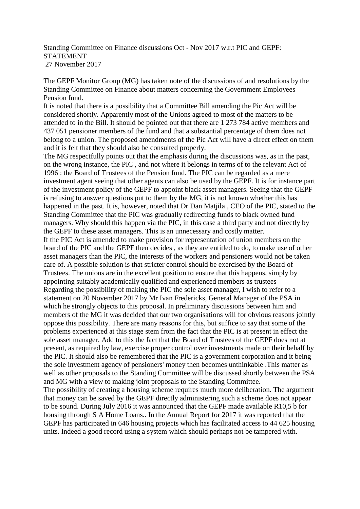Standing Committee on Finance discussions Oct - Nov 2017 w.r.t PIC and GEPF: STATEMENT 27 November 2017

The GEPF Monitor Group (MG) has taken note of the discussions of and resolutions by the Standing Committee on Finance about matters concerning the Government Employees Pension fund.

It is noted that there is a possibility that a Committee Bill amending the Pic Act will be considered shortly. Apparently most of the Unions agreed to most of the matters to be attended to in the Bill. It should be pointed out that there are 1 273 784 active members and 437 051 pensioner members of the fund and that a substantial percentage of them does not belong to a union. The proposed amendments of the Pic Act will have a direct effect on them and it is felt that they should also be consulted properly.

The MG respectfully points out that the emphasis during the discussions was, as in the past, on the wrong instance, the PIC , and not where it belongs in terms of to the relevant Act of 1996 : the Board of Trustees of the Pension fund. The PIC can be regarded as a mere investment agent seeing that other agents can also be used by the GEPF. It is for instance part of the investment policy of the GEPF to appoint black asset managers. Seeing that the GEPF is refusing to answer questions put to them by the MG, it is not known whether this has happened in the past. It is, however, noted that Dr Dan Matjila , CEO of the PIC, stated to the Standing Committee that the PIC was gradually redirecting funds to black owned fund managers. Why should this happen via the PIC, in this case a third party and not directly by the GEPF to these asset managers. This is an unnecessary and costly matter. If the PIC Act is amended to make provision for representation of union members on the board of the PIC and the GEPF then decides , as they are entitled to do, to make use of other asset managers than the PIC, the interests of the workers and pensioners would not be taken care of. A possible solution is that stricter control should be exercised by the Board of Trustees. The unions are in the excellent position to ensure that this happens, simply by appointing suitably academically qualified and experienced members as trustees Regarding the possibility of making the PIC the sole asset manager, I wish to refer to a statement on 20 November 2017 by Mr Ivan Fredericks, General Manager of the PSA in which he strongly objects to this proposal. In preliminary discussions between him and members of the MG it was decided that our two organisations will for obvious reasons jointly oppose this possibility. There are many reasons for this, but suffice to say that some of the problems experienced at this stage stem from the fact that the PIC is at present in effect the sole asset manager. Add to this the fact that the Board of Trustees of the GEPF does not at present, as required by law, exercise proper control over investments made on their behalf by the PIC. It should also be remembered that the PIC is a government corporation and it being the sole investment agency of pensioners' money then becomes unthinkable .This matter as well as other proposals to the Standing Committee will be discussed shortly between the PSA and MG with a view to making joint proposals to the Standing Committee.

The possibility of creating a housing scheme requires much more deliberation. The argument that money can be saved by the GEPF directly administering such a scheme does not appear to be sound. During July 2016 it was announced that the GEPF made available R10,5 b for housing through S A Home Loans.. In the Annual Report for 2017 it was reported that the GEPF has participated in 646 housing projects which has facilitated access to 44 625 housing units. Indeed a good record using a system which should perhaps not be tampered with.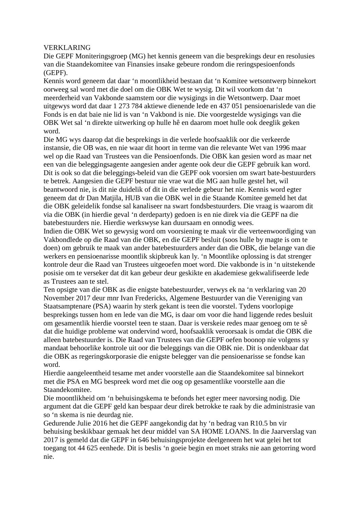## VERKLARING

Die GEPF Moniteringsgroep (MG) het kennis geneem van die besprekings deur en resolusies van die Staandekomitee van Finansies insake gebeure rondom die reringspesioenfonds (GEPF).

Kennis word geneem dat daar 'n moontlikheid bestaan dat 'n Komitee wetsontwerp binnekort oorweeg sal word met die doel om die OBK Wet te wysig. Dit wil voorkom dat 'n meerderheid van Vakbonde saamstem oor die wysigings in die Wetsontwerp. Daar moet uitgewys word dat daar 1 273 784 aktiewe dienende lede en 437 051 pensioenarislede van die Fonds is en dat baie nie lid is van 'n Vakbond is nie. Die voorgestelde wysigings van die OBK Wet sal 'n direkte uitwerking op hulle hê en daarom moet hulle ook deeglik geken word.

Die MG wys daarop dat die besprekings in die verlede hoofsaaklik oor die verkeerde instansie, die OB was, en nie waar dit hoort in terme van die relevante Wet van 1996 maar wel op die Raad van Trustees van die Pensioenfonds. Die OBK kan gesien word as maar net een van die beleggingsagente aangesien ander agente ook deur die GEPF gebruik kan word. Dit is ook so dat die beleggings-beleid van die GEPF ook voorsien om swart bate-bestuurders te betrek. Aangesien die GEPF bestuur nie vrae wat die MG aan hulle gestel het, wil beantwoord nie, is dit nie duidelik of dit in die verlede gebeur het nie. Kennis word egter geneem dat dr Dan Matjila, HUB van die OBK wel in die Staande Komitee gemeld het dat die OBK geleidelik fondse sal kanaliseer na swart fondsbestuurders. Die vraag is waarom dit via die OBK (in hierdie geval 'n derdeparty) gedoen is en nie direk via die GEPF na die batebestuurders nie. Hierdie werkswyse kan duursaam en onnodig wees.

Indien die OBK Wet so gewysig word om voorsiening te maak vir die verteenwoordiging van Vakbondlede op die Raad van die OBK, en die GEPF besluit (soos hulle by magte is om te doen) om gebruik te maak van ander batebestuurders ander dan die OBK, die belange van die werkers en pensioenarisse moontlik skipbreuk kan ly. 'n Moontlike oplossing is dat strenger kontrole deur die Raad van Trustees uitgeoefen moet word. Die vakbonde is in 'n uitstekende posisie om te verseker dat dit kan gebeur deur geskikte en akademiese gekwalifiseerde lede as Trustees aan te stel.

Ten opsigte van die OBK as die enigste batebestuurder, verwys ek na 'n verklaring van 20 November 2017 deur mnr Ivan Fredericks, Algemene Bestuurder van die Vereniging van Staatsamptenare (PSA) waarin hy sterk gekant is teen die voorstel. Tydens voorlopige besprekings tussen hom en lede van die MG, is daar om voor die hand liggende redes besluit om gesamentlik hierdie voorstel teen te staan. Daar is verskeie redes maar genoeg om te sê dat die huidige probleme wat ondervind word, hoofsaaklik veroorsaak is omdat die OBK die alleen batebestuurder is. Die Raad van Trustees van die GEPF oefen boonop nie volgens sy mandaat behoorlike kontrole uit oor die beleggings van die OBK nie. Dit is ondenkbaar dat die OBK as regeringskorporasie die enigste belegger van die pensioenarisse se fondse kan word.

Hierdie aangeleentheid tesame met ander voorstelle aan die Staandekomitee sal binnekort met die PSA en MG bespreek word met die oog op gesamentlike voorstelle aan die Staandekomitee.

Die moontlikheid om 'n behuisingskema te befonds het egter meer navorsing nodig. Die argument dat die GEPF geld kan bespaar deur direk betrokke te raak by die administrasie van so 'n skema is nie deurdag nie.

Gedurende Julie 2016 het die GEPF aangekondig dat hy 'n bedrag van R10.5 bn vir behuising beskikbaar gemaak het deur middel van SA HOME LOANS. In die Jaarverslag van 2017 is gemeld dat die GEPF in 646 behuisingsprojekte deelgeneem het wat gelei het tot toegang tot 44 625 eenhede. Dit is beslis 'n goeie begin en moet straks nie aan getorring word nie.